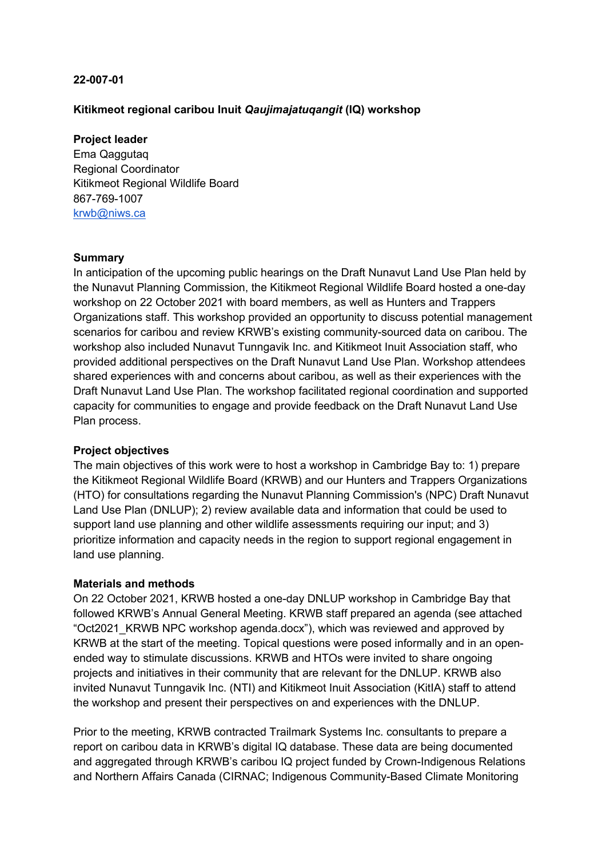# **22-007-01**

# **Kitikmeot regional caribou Inuit** *Qaujimajatuqangit* **(IQ) workshop**

## **Project leader**

Ema Qaggutaq Regional Coordinator Kitikmeot Regional Wildlife Board 867-769-1007 krwb@niws.ca

## **Summary**

In anticipation of the upcoming public hearings on the Draft Nunavut Land Use Plan held by the Nunavut Planning Commission, the Kitikmeot Regional Wildlife Board hosted a one-day workshop on 22 October 2021 with board members, as well as Hunters and Trappers Organizations staff. This workshop provided an opportunity to discuss potential management scenarios for caribou and review KRWB's existing community-sourced data on caribou. The workshop also included Nunavut Tunngavik Inc. and Kitikmeot Inuit Association staff, who provided additional perspectives on the Draft Nunavut Land Use Plan. Workshop attendees shared experiences with and concerns about caribou, as well as their experiences with the Draft Nunavut Land Use Plan. The workshop facilitated regional coordination and supported capacity for communities to engage and provide feedback on the Draft Nunavut Land Use Plan process.

# **Project objectives**

The main objectives of this work were to host a workshop in Cambridge Bay to: 1) prepare the Kitikmeot Regional Wildlife Board (KRWB) and our Hunters and Trappers Organizations (HTO) for consultations regarding the Nunavut Planning Commission's (NPC) Draft Nunavut Land Use Plan (DNLUP); 2) review available data and information that could be used to support land use planning and other wildlife assessments requiring our input; and 3) prioritize information and capacity needs in the region to support regional engagement in land use planning.

### **Materials and methods**

On 22 October 2021, KRWB hosted a one-day DNLUP workshop in Cambridge Bay that followed KRWB's Annual General Meeting. KRWB staff prepared an agenda (see attached "Oct2021\_KRWB NPC workshop agenda.docx"), which was reviewed and approved by KRWB at the start of the meeting. Topical questions were posed informally and in an openended way to stimulate discussions. KRWB and HTOs were invited to share ongoing projects and initiatives in their community that are relevant for the DNLUP. KRWB also invited Nunavut Tunngavik Inc. (NTI) and Kitikmeot Inuit Association (KitIA) staff to attend the workshop and present their perspectives on and experiences with the DNLUP.

Prior to the meeting, KRWB contracted Trailmark Systems Inc. consultants to prepare a report on caribou data in KRWB's digital IQ database. These data are being documented and aggregated through KRWB's caribou IQ project funded by Crown-Indigenous Relations and Northern Affairs Canada (CIRNAC; Indigenous Community-Based Climate Monitoring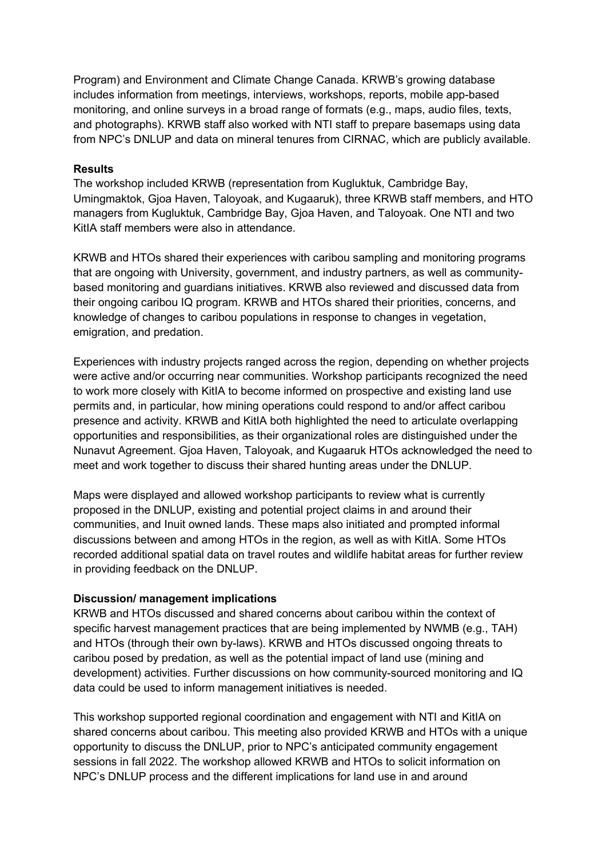Program) and Environment and Climate Change Canada. KRWB's growing database includes information from meetings, interviews, workshops, reports, mobile app-based monitoring, and online surveys in a broad range of formats (e.g., maps, audio files, texts, and photographs). KRWB staff also worked with NTI staff to prepare basemaps using data from NPC's DNLUP and data on mineral tenures from CIRNAC, which are publicly available.

# **Results**

The workshop included KRWB (representation from Kugluktuk, Cambridge Bay, Umingmaktok, Gjoa Haven, Taloyoak, and Kugaaruk), three KRWB staff members, and HTO managers from Kugluktuk, Cambridge Bay, Gjoa Haven, and Taloyoak. One NTI and two KitIA staff members were also in attendance.

KRWB and HTOs shared their experiences with caribou sampling and monitoring programs that are ongoing with University, government, and industry partners, as well as communitybased monitoring and guardians initiatives. KRWB also reviewed and discussed data from their ongoing caribou IQ program. KRWB and HTOs shared their priorities, concerns, and knowledge of changes to caribou populations in response to changes in vegetation, emigration, and predation.

Experiences with industry projects ranged across the region, depending on whether projects were active and/or occurring near communities. Workshop participants recognized the need to work more closely with KitIA to become informed on prospective and existing land use permits and, in particular, how mining operations could respond to and/or affect caribou presence and activity. KRWB and KitIA both highlighted the need to articulate overlapping opportunities and responsibilities, as their organizational roles are distinguished under the Nunavut Agreement. Gjoa Haven, Taloyoak, and Kugaaruk HTOs acknowledged the need to meet and work together to discuss their shared hunting areas under the DNLUP.

Maps were displayed and allowed workshop participants to review what is currently proposed in the DNLUP, existing and potential project claims in and around their communities, and Inuit owned lands. These maps also initiated and prompted informal discussions between and among HTOs in the region, as well as with KitIA. Some HTOs recorded additional spatial data on travel routes and wildlife habitat areas for further review in providing feedback on the DNLUP.

### **Discussion/ management implications**

KRWB and HTOs discussed and shared concerns about caribou within the context of specific harvest management practices that are being implemented by NWMB (e.g., TAH) and HTOs (through their own by-laws). KRWB and HTOs discussed ongoing threats to caribou posed by predation, as well as the potential impact of land use (mining and development) activities. Further discussions on how community-sourced monitoring and IQ data could be used to inform management initiatives is needed.

This workshop supported regional coordination and engagement with NTI and KitIA on shared concerns about caribou. This meeting also provided KRWB and HTOs with a unique opportunity to discuss the DNLUP, prior to NPC's anticipated community engagement sessions in fall 2022. The workshop allowed KRWB and HTOs to solicit information on NPC's DNLUP process and the different implications for land use in and around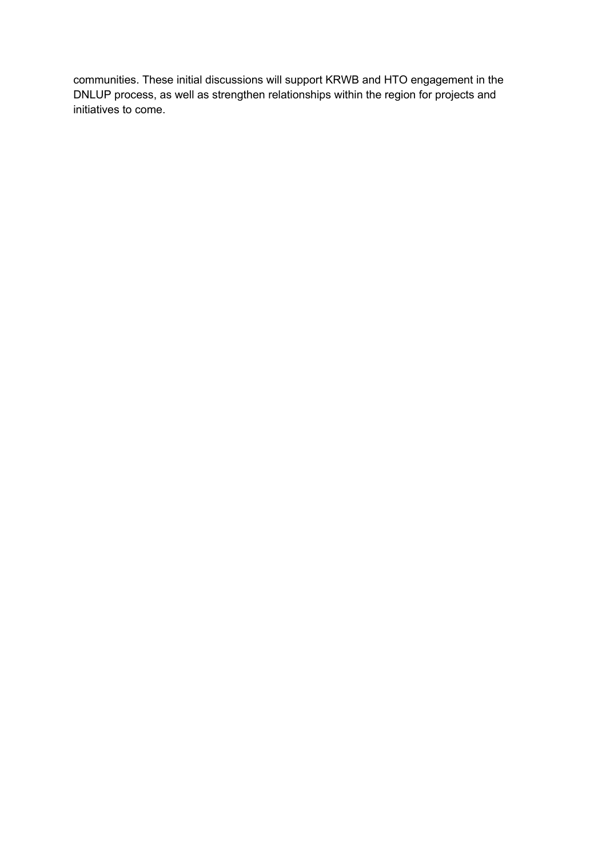communities. These initial discussions will support KRWB and HTO engagement in the DNLUP process, as well as strengthen relationships within the region for projects and initiatives to come.